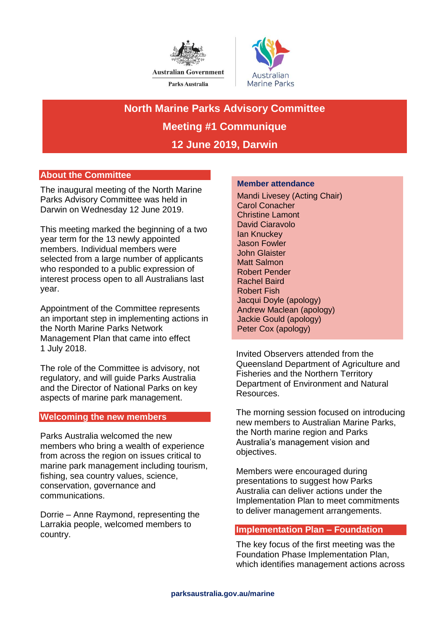



**North Marine Parks Advisory Committee Meeting #1 Communique 12 June 2019, Darwin** 

# **About the Committee**

The inaugural meeting of the North Marine Parks Advisory Committee was held in Darwin on Wednesday 12 June 2019.

This meeting marked the beginning of a two year term for the 13 newly appointed members. Individual members were selected from a large number of applicants who responded to a public expression of interest process open to all Australians last year.

Appointment of the Committee represents an important step in implementing actions in the North Marine Parks Network Management Plan that came into effect 1 July 2018.

The role of the Committee is advisory, not regulatory, and will guide Parks Australia and the Director of National Parks on key aspects of marine park management.

# **Welcoming the new members**

Parks Australia welcomed the new members who bring a wealth of experience from across the region on issues critical to marine park management including tourism, fishing, sea country values, science, conservation, governance and communications.

Dorrie – Anne Raymond, representing the Larrakia people, welcomed members to country.

#### **Member attendance**

Mandi Livesey (Acting Chair) Carol Conacher Christine Lamont David Ciaravolo Ian Knuckey Jason Fowler John Glaister Matt Salmon Robert Pender Rachel Baird Robert Fish Jacqui Doyle (apology) Andrew Maclean (apology) Jackie Gould (apology) Peter Cox (apology)

Invited Observers attended from the Queensland Department of Agriculture and Fisheries and the Northern Territory Department of Environment and Natural Resources.

The morning session focused on introducing new members to Australian Marine Parks, the North marine region and Parks Australia's management vision and objectives.

Members were encouraged during presentations to suggest how Parks Australia can deliver actions under the Implementation Plan to meet commitments to deliver management arrangements.

# **Implementation Plan – Foundation**

The key focus of the first meeting was the Foundation Phase Implementation Plan, which identifies management actions across